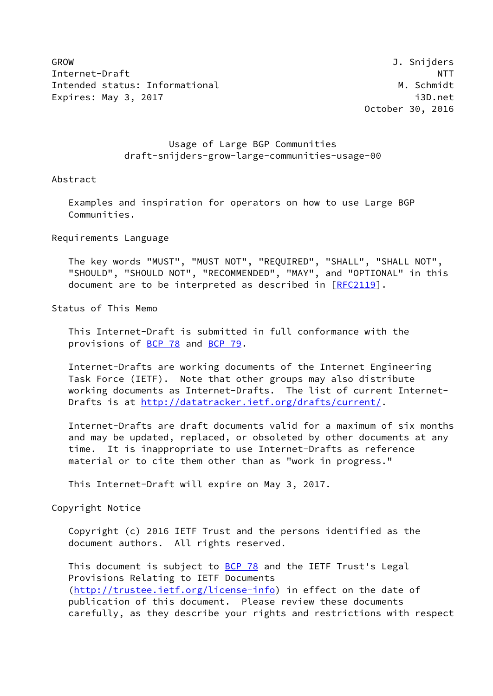GROW J. Snijders Internet-Draft NTT Intended status: Informational M. Schmidt Expires: May 3, 2017 **i**3D.net

October 30, 2016

 Usage of Large BGP Communities draft-snijders-grow-large-communities-usage-00

#### Abstract

 Examples and inspiration for operators on how to use Large BGP Communities.

Requirements Language

 The key words "MUST", "MUST NOT", "REQUIRED", "SHALL", "SHALL NOT", "SHOULD", "SHOULD NOT", "RECOMMENDED", "MAY", and "OPTIONAL" in this document are to be interpreted as described in [\[RFC2119](https://datatracker.ietf.org/doc/pdf/rfc2119)].

Status of This Memo

 This Internet-Draft is submitted in full conformance with the provisions of [BCP 78](https://datatracker.ietf.org/doc/pdf/bcp78) and [BCP 79](https://datatracker.ietf.org/doc/pdf/bcp79).

 Internet-Drafts are working documents of the Internet Engineering Task Force (IETF). Note that other groups may also distribute working documents as Internet-Drafts. The list of current Internet- Drafts is at<http://datatracker.ietf.org/drafts/current/>.

 Internet-Drafts are draft documents valid for a maximum of six months and may be updated, replaced, or obsoleted by other documents at any time. It is inappropriate to use Internet-Drafts as reference material or to cite them other than as "work in progress."

This Internet-Draft will expire on May 3, 2017.

Copyright Notice

 Copyright (c) 2016 IETF Trust and the persons identified as the document authors. All rights reserved.

This document is subject to **[BCP 78](https://datatracker.ietf.org/doc/pdf/bcp78)** and the IETF Trust's Legal Provisions Relating to IETF Documents [\(http://trustee.ietf.org/license-info](http://trustee.ietf.org/license-info)) in effect on the date of publication of this document. Please review these documents carefully, as they describe your rights and restrictions with respect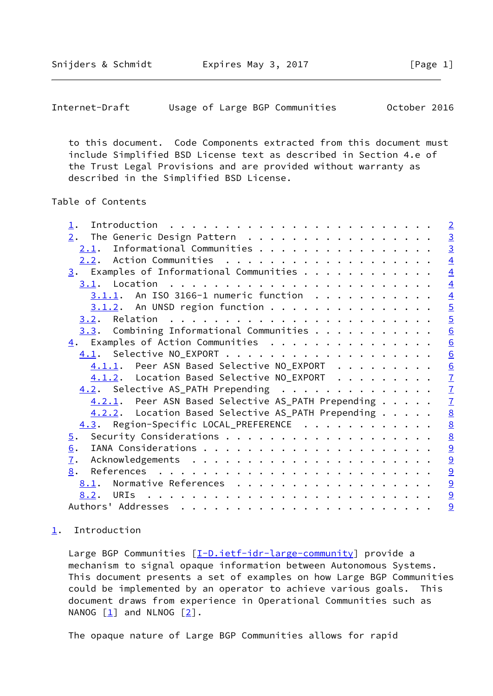<span id="page-1-1"></span>Internet-Draft Usage of Large BGP Communities October 2016

 to this document. Code Components extracted from this document must include Simplified BSD License text as described in Section 4.e of the Trust Legal Provisions and are provided without warranty as described in the Simplified BSD License.

# Table of Contents

| $\perp$ .                                               | $\overline{2}$                            |
|---------------------------------------------------------|-------------------------------------------|
|                                                         |                                           |
| $2.1$ . Informational Communities                       | $\frac{3}{3}$                             |
|                                                         | $\overline{4}$                            |
| $\underline{3}$ . Examples of Informational Communities | $\overline{4}$                            |
|                                                         | $\overline{4}$                            |
| $3.1.1$ . An ISO 3166-1 numeric function                |                                           |
| $3.1.2$ . An UNSD region function                       |                                           |
|                                                         |                                           |
| $3.3.$ Combining Informational Communities              | $\frac{4}{5}$ $\frac{5}{6}$               |
| $\underline{4}$ . Examples of Action Communities        | $\underline{6}$                           |
|                                                         |                                           |
| 4.1.1. Peer ASN Based Selective NO_EXPORT               | $\frac{6}{2}$ $\frac{7}{7}$ $\frac{7}{7}$ |
| 4.1.2. Location Based Selective NO_EXPORT               |                                           |
| 4.2. Selective AS_PATH Prepending                       |                                           |
| 4.2.1. Peer ASN Based Selective AS_PATH Prepending      | $\overline{1}$                            |
| 4.2.2. Location Based Selective AS_PATH Prepending      | $\underline{8}$                           |
| 4.3. Region-Specific LOCAL_PREFERENCE                   | $\underline{8}$                           |
|                                                         | $\underline{8}$                           |
| 6.                                                      | 9                                         |
| $\overline{1}$ .                                        | 9                                         |
| 8.                                                      | 9                                         |
| 8.1. Normative References                               |                                           |
|                                                         | $\overline{\partial}$                     |
|                                                         | $\overline{a}$                            |
|                                                         | 9                                         |

### <span id="page-1-0"></span>[1](#page-1-0). Introduction

Large BGP Communities [[I-D.ietf-idr-large-community\]](#page-9-6) provide a mechanism to signal opaque information between Autonomous Systems. This document presents a set of examples on how Large BGP Communities could be implemented by an operator to achieve various goals. This document draws from experience in Operational Communities such as NANOG  $\begin{bmatrix} 1 \end{bmatrix}$  and NLNOG  $\begin{bmatrix} 2 \end{bmatrix}$ .

The opaque nature of Large BGP Communities allows for rapid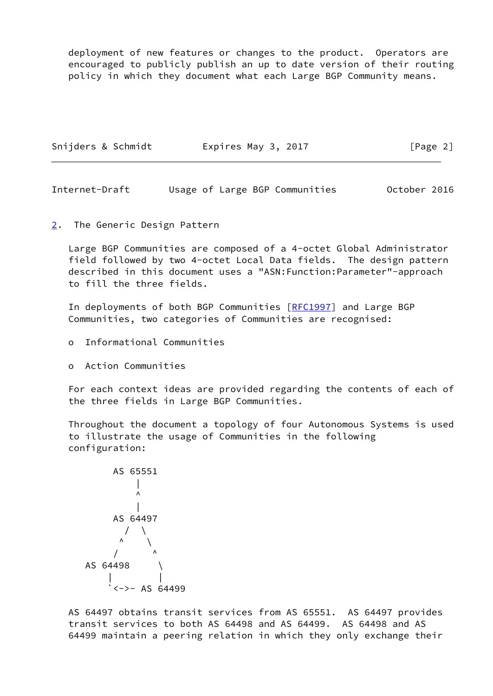deployment of new features or changes to the product. Operators are encouraged to publicly publish an up to date version of their routing policy in which they document what each Large BGP Community means.

| [Page 2]<br>Snijders & Schmidt<br>Expires May 3, 2017 |  |
|-------------------------------------------------------|--|
|-------------------------------------------------------|--|

<span id="page-2-1"></span>Internet-Draft Usage of Large BGP Communities October 2016

<span id="page-2-0"></span>[2](#page-2-0). The Generic Design Pattern

 Large BGP Communities are composed of a 4-octet Global Administrator field followed by two 4-octet Local Data fields. The design pattern described in this document uses a "ASN:Function:Parameter"-approach to fill the three fields.

In deployments of both BGP Communities [\[RFC1997](https://datatracker.ietf.org/doc/pdf/rfc1997)] and Large BGP Communities, two categories of Communities are recognised:

- o Informational Communities
- o Action Communities

 For each context ideas are provided regarding the contents of each of the three fields in Large BGP Communities.

 Throughout the document a topology of four Autonomous Systems is used to illustrate the usage of Communities in the following configuration:

 AS 65551 | ^ | AS 64497 / \ ^ \ / ^ AS 64498 \ | | `<->- AS 64499

 AS 64497 obtains transit services from AS 65551. AS 64497 provides transit services to both AS 64498 and AS 64499. AS 64498 and AS 64499 maintain a peering relation in which they only exchange their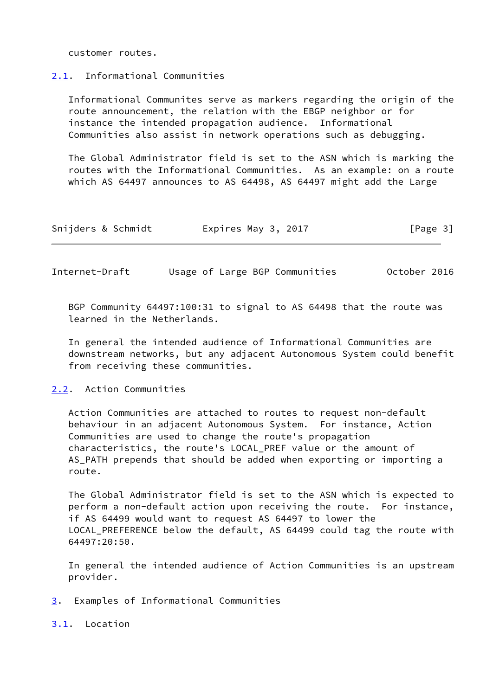customer routes.

#### <span id="page-3-0"></span>[2.1](#page-3-0). Informational Communities

 Informational Communites serve as markers regarding the origin of the route announcement, the relation with the EBGP neighbor or for instance the intended propagation audience. Informational Communities also assist in network operations such as debugging.

 The Global Administrator field is set to the ASN which is marking the routes with the Informational Communities. As an example: on a route which AS 64497 announces to AS 64498, AS 64497 might add the Large

| Snijders & Schmidt<br>Expires May 3, 2017 | [Page 3] |
|-------------------------------------------|----------|
|-------------------------------------------|----------|

<span id="page-3-2"></span>Internet-Draft Usage of Large BGP Communities October 2016

 BGP Community 64497:100:31 to signal to AS 64498 that the route was learned in the Netherlands.

 In general the intended audience of Informational Communities are downstream networks, but any adjacent Autonomous System could benefit from receiving these communities.

## <span id="page-3-1"></span>[2.2](#page-3-1). Action Communities

 Action Communities are attached to routes to request non-default behaviour in an adjacent Autonomous System. For instance, Action Communities are used to change the route's propagation characteristics, the route's LOCAL\_PREF value or the amount of AS\_PATH prepends that should be added when exporting or importing a route.

 The Global Administrator field is set to the ASN which is expected to perform a non-default action upon receiving the route. For instance, if AS 64499 would want to request AS 64497 to lower the LOCAL\_PREFERENCE below the default, AS 64499 could tag the route with 64497:20:50.

 In general the intended audience of Action Communities is an upstream provider.

- <span id="page-3-3"></span>[3](#page-3-3). Examples of Informational Communities
- <span id="page-3-4"></span>[3.1](#page-3-4). Location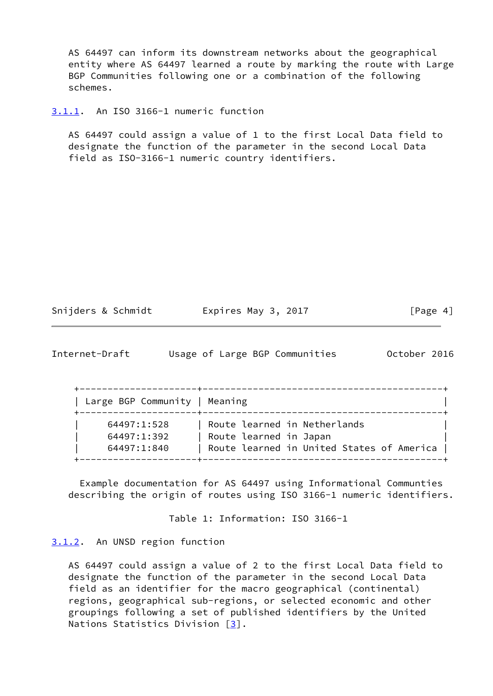AS 64497 can inform its downstream networks about the geographical entity where AS 64497 learned a route by marking the route with Large BGP Communities following one or a combination of the following schemes.

<span id="page-4-0"></span>[3.1.1](#page-4-0). An ISO 3166-1 numeric function

 AS 64497 could assign a value of 1 to the first Local Data field to designate the function of the parameter in the second Local Data field as ISO-3166-1 numeric country identifiers.

| Snijders & Schmidt<br>Expires May 3, 2017 | [Page 4] |  |  |
|-------------------------------------------|----------|--|--|
|-------------------------------------------|----------|--|--|

<span id="page-4-2"></span>

| Internet-Draft |  |  |  | Usage of Large BGP Communities | October 2016 |  |
|----------------|--|--|--|--------------------------------|--------------|--|
|----------------|--|--|--|--------------------------------|--------------|--|

| Large BGP Community   Meaning |                                           |
|-------------------------------|-------------------------------------------|
| 64497:1:528                   | Route learned in Netherlands              |
| 64497:1:392                   | Route learned in Japan                    |
| 64497:1:840                   | Route learned in United States of America |

 Example documentation for AS 64497 using Informational Communties describing the origin of routes using ISO 3166-1 numeric identifiers.

Table 1: Information: ISO 3166-1

### <span id="page-4-1"></span>[3.1.2](#page-4-1). An UNSD region function

 AS 64497 could assign a value of 2 to the first Local Data field to designate the function of the parameter in the second Local Data field as an identifier for the macro geographical (continental) regions, geographical sub-regions, or selected economic and other groupings following a set of published identifiers by the United Nations Statistics Division [\[3](#page-9-9)].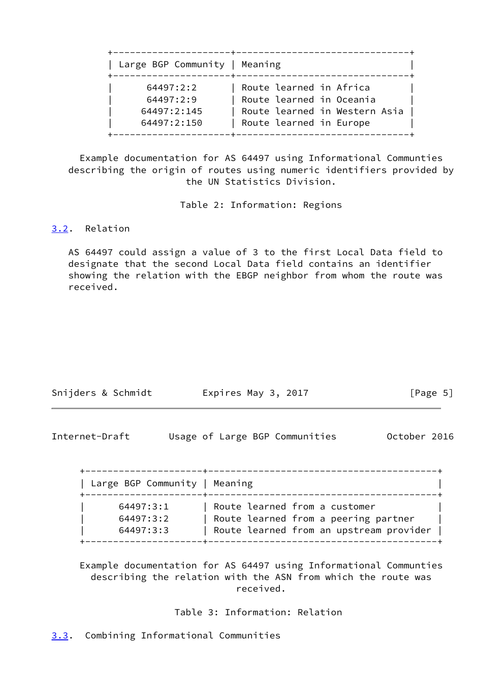| Large BGP Community   Meaning                        |
|------------------------------------------------------|
| 64497:2:2<br>64497:2:9<br>64497:2:145<br>64497:2:150 |

 Example documentation for AS 64497 using Informational Communties describing the origin of routes using numeric identifiers provided by the UN Statistics Division.

Table 2: Information: Regions

# <span id="page-5-0"></span>[3.2](#page-5-0). Relation

 AS 64497 could assign a value of 3 to the first Local Data field to designate that the second Local Data field contains an identifier showing the relation with the EBGP neighbor from whom the route was received.

| Snijders & Schmidt | Expires May 3, 2017 | [Page 5] |
|--------------------|---------------------|----------|
|                    |                     |          |

<span id="page-5-2"></span>

| Internet-Draft |  |  | Usage of Large BGP Communities | October 2016 |  |
|----------------|--|--|--------------------------------|--------------|--|
|                |  |  |                                |              |  |

| Large BGP Community   Meaning |                                         |
|-------------------------------|-----------------------------------------|
| 64497:3:1                     | Route learned from a customer           |
| 64497:3:2                     | Route learned from a peering partner    |
| 64497:3:3                     | Route learned from an upstream provider |

 Example documentation for AS 64497 using Informational Communties describing the relation with the ASN from which the route was received.

Table 3: Information: Relation

<span id="page-5-1"></span>[3.3](#page-5-1). Combining Informational Communities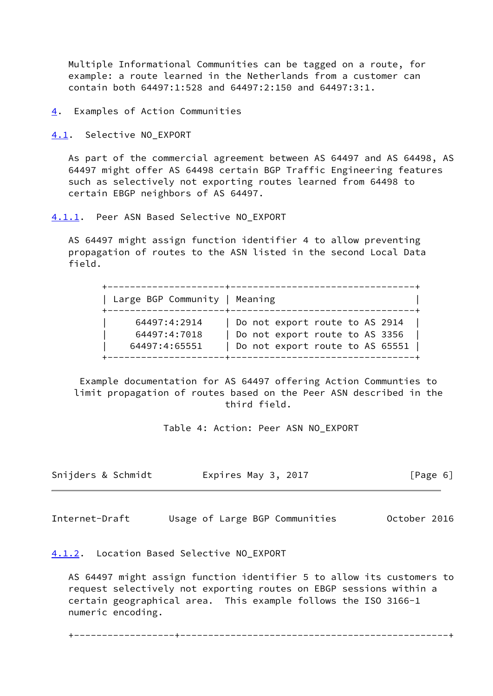Multiple Informational Communities can be tagged on a route, for example: a route learned in the Netherlands from a customer can contain both 64497:1:528 and 64497:2:150 and 64497:3:1.

<span id="page-6-0"></span>[4](#page-6-0). Examples of Action Communities

<span id="page-6-1"></span>[4.1](#page-6-1). Selective NO EXPORT

 As part of the commercial agreement between AS 64497 and AS 64498, AS 64497 might offer AS 64498 certain BGP Traffic Engineering features such as selectively not exporting routes learned from 64498 to certain EBGP neighbors of AS 64497.

<span id="page-6-2"></span>[4.1.1](#page-6-2). Peer ASN Based Selective NO\_EXPORT

 AS 64497 might assign function identifier 4 to allow preventing propagation of routes to the ASN listed in the second Local Data field.

 +---------------------+---------------------------------+ | Large BGP Community | Meaning +---------------------+---------------------------------+ | 64497:4:2914 | Do not export route to AS 2914 | | 64497:4:7018 | Do not export route to AS 3356 | | 64497:4:65551 | Do not export route to AS 65551 | +---------------------+---------------------------------+

 Example documentation for AS 64497 offering Action Communties to limit propagation of routes based on the Peer ASN described in the third field.

Table 4: Action: Peer ASN NO\_EXPORT

| Snijders & Schmidt | Expires May 3, 2017 | [Page 6] |
|--------------------|---------------------|----------|
|--------------------|---------------------|----------|

<span id="page-6-4"></span>Internet-Draft Usage of Large BGP Communities October 2016

<span id="page-6-3"></span>[4.1.2](#page-6-3). Location Based Selective NO\_EXPORT

 AS 64497 might assign function identifier 5 to allow its customers to request selectively not exporting routes on EBGP sessions within a certain geographical area. This example follows the ISO 3166-1 numeric encoding.

+------------------+------------------------------------------------+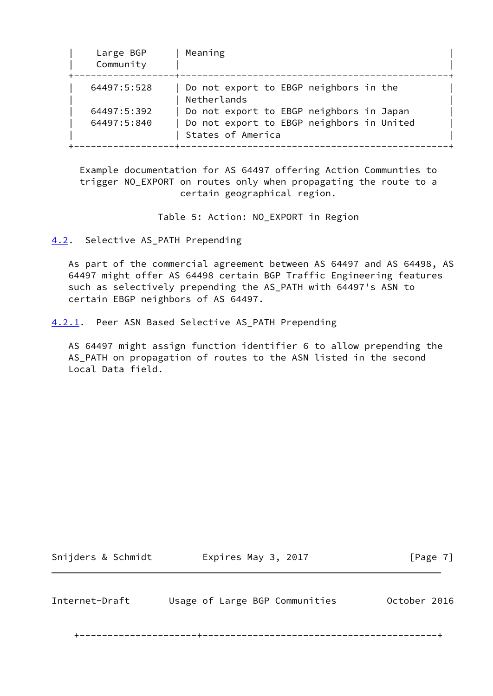| Large BGP<br>Community | Meaning                                                        |
|------------------------|----------------------------------------------------------------|
| 64497:5:528            | Do not export to EBGP neighbors in the<br>Netherlands          |
| 64497:5:392            | Do not export to EBGP neighbors in Japan                       |
| 64497:5:840            | Do not export to EBGP neighbors in United<br>States of America |

 Example documentation for AS 64497 offering Action Communties to trigger NO\_EXPORT on routes only when propagating the route to a certain geographical region.

Table 5: Action: NO\_EXPORT in Region

<span id="page-7-0"></span>[4.2](#page-7-0). Selective AS\_PATH Prepending

 As part of the commercial agreement between AS 64497 and AS 64498, AS 64497 might offer AS 64498 certain BGP Traffic Engineering features such as selectively prepending the AS\_PATH with 64497's ASN to certain EBGP neighbors of AS 64497.

<span id="page-7-1"></span>[4.2.1](#page-7-1). Peer ASN Based Selective AS\_PATH Prepending

 AS 64497 might assign function identifier 6 to allow prepending the AS\_PATH on propagation of routes to the ASN listed in the second Local Data field.

Snijders & Schmidt **Expires May 3, 2017** [Page 7]

<span id="page-7-2"></span>Internet-Draft Usage of Large BGP Communities October 2016

+---------------------+------------------------------------------+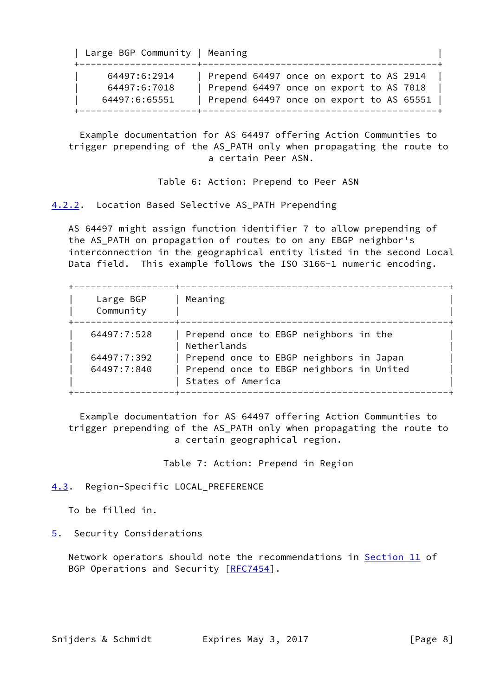| Large BGP Community   Meaning                 |                                                                                                                                |  |
|-----------------------------------------------|--------------------------------------------------------------------------------------------------------------------------------|--|
| 64497:6:2914<br>64497:6:7018<br>64497:6:65551 | Prepend 64497 once on export to AS 2914<br>Prepend 64497 once on export to AS 7018<br>Prepend 64497 once on export to AS 65551 |  |

 Example documentation for AS 64497 offering Action Communties to trigger prepending of the AS\_PATH only when propagating the route to a certain Peer ASN.

Table 6: Action: Prepend to Peer ASN

<span id="page-8-0"></span>[4.2.2](#page-8-0). Location Based Selective AS\_PATH Prepending

 AS 64497 might assign function identifier 7 to allow prepending of the AS\_PATH on propagation of routes to on any EBGP neighbor's interconnection in the geographical entity listed in the second Local Data field. This example follows the ISO 3166-1 numeric encoding.

| Large BGP<br>Community | Meaning                                                       |
|------------------------|---------------------------------------------------------------|
| 64497:7:528            | Prepend once to EBGP neighbors in the<br>Netherlands          |
| 64497:7:392            | Prepend once to EBGP neighbors in Japan                       |
| 64497:7:840            | Prepend once to EBGP neighbors in United<br>States of America |

 Example documentation for AS 64497 offering Action Communties to trigger prepending of the AS\_PATH only when propagating the route to a certain geographical region.

Table 7: Action: Prepend in Region

# <span id="page-8-1"></span>[4.3](#page-8-1). Region-Specific LOCAL PREFERENCE

To be filled in.

# <span id="page-8-2"></span>[5](#page-8-2). Security Considerations

Network operators should note the recommendations in **Section 11** of BGP Operations and Security [\[RFC7454](https://datatracker.ietf.org/doc/pdf/rfc7454)].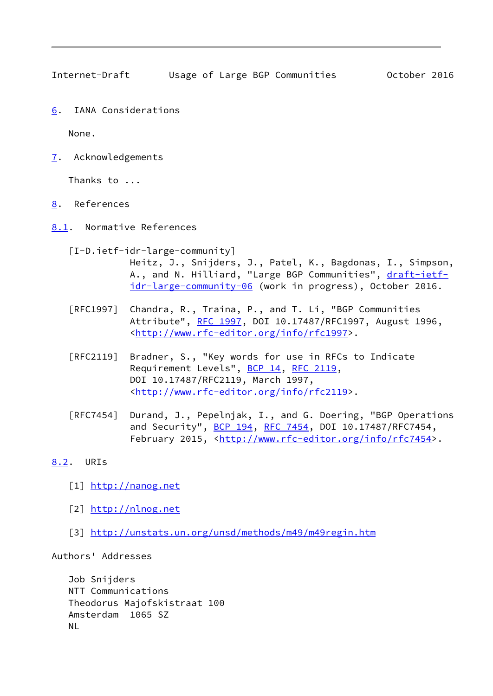<span id="page-9-1"></span>Internet-Draft Usage of Large BGP Communities October 2016

<span id="page-9-0"></span>[6](#page-9-0). IANA Considerations

None.

<span id="page-9-2"></span>[7](#page-9-2). Acknowledgements

Thanks to ...

- <span id="page-9-3"></span>[8](#page-9-3). References
- <span id="page-9-4"></span>[8.1](#page-9-4). Normative References

<span id="page-9-6"></span> [I-D.ietf-idr-large-community] Heitz, J., Snijders, J., Patel, K., Bagdonas, I., Simpson, A., and N. Hilliard, "Large BGP Communities", [draft-ietf](https://datatracker.ietf.org/doc/pdf/draft-ietf-idr-large-community-06) [idr-large-community-06](https://datatracker.ietf.org/doc/pdf/draft-ietf-idr-large-community-06) (work in progress), October 2016.

- [RFC1997] Chandra, R., Traina, P., and T. Li, "BGP Communities Attribute", [RFC 1997,](https://datatracker.ietf.org/doc/pdf/rfc1997) DOI 10.17487/RFC1997, August 1996, <<http://www.rfc-editor.org/info/rfc1997>>.
- [RFC2119] Bradner, S., "Key words for use in RFCs to Indicate Requirement Levels", [BCP 14](https://datatracker.ietf.org/doc/pdf/bcp14), [RFC 2119](https://datatracker.ietf.org/doc/pdf/rfc2119), DOI 10.17487/RFC2119, March 1997, <<http://www.rfc-editor.org/info/rfc2119>>.
- [RFC7454] Durand, J., Pepelnjak, I., and G. Doering, "BGP Operations and Security", [BCP 194](https://datatracker.ietf.org/doc/pdf/bcp194), [RFC 7454,](https://datatracker.ietf.org/doc/pdf/rfc7454) DOI 10.17487/RFC7454, February 2015, <<http://www.rfc-editor.org/info/rfc7454>>.
- <span id="page-9-8"></span><span id="page-9-7"></span><span id="page-9-5"></span>[8.2](#page-9-5). URIs
	- [1] <http://nanog.net>
	- [2] <http://nlnog.net>
	- [3] <http://unstats.un.org/unsd/methods/m49/m49regin.htm>

<span id="page-9-9"></span>Authors' Addresses

 Job Snijders NTT Communications Theodorus Majofskistraat 100 Amsterdam 1065 SZ NL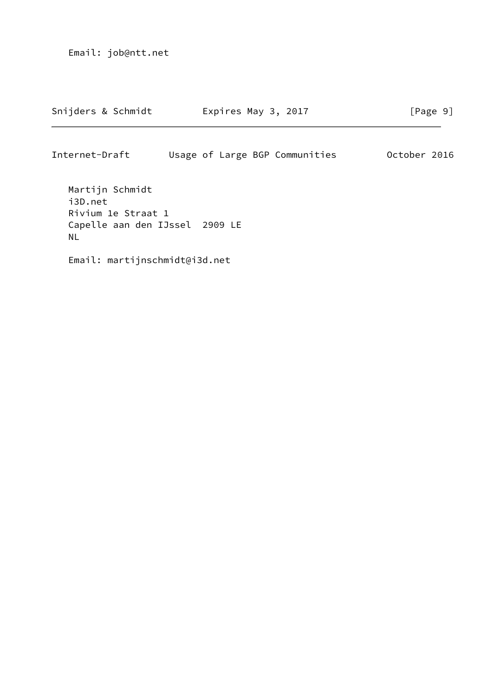Email: job@ntt.net

Snijders & Schmidt Expires May 3, 2017 [Page 9]

Internet-Draft Usage of Large BGP Communities October 2016

 Martijn Schmidt i3D.net Rivium 1e Straat 1 Capelle aan den IJssel 2909 LE NL

Email: martijnschmidt@i3d.net